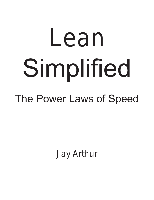# Lean Simplified

# The Power Laws of Speed

Jay Arthur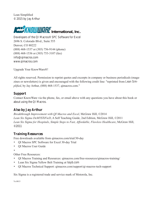Lean Simplified © 2015 by Jay Arthur



Developers of the QI Macros® SPC Software for Excel 2696 S. Colorado Blvd., Suite 555 Denver, CO 80222 (888) 468-1537 or (303) 756-9144 (phone) (888) 468-1536 or (303) 753-3107 (fax) [info@qimacros.com]({���ԢaIze=α��9���+h1��6�w�����l�q<�dMp) [www.qimacros.com](Щ؈A�O%����k|�U:]
����,�R2�<�uZr9x��R+T�)

Upgrade Your KnowWare®!

All rights reserved. Permission to reprint quotes and excerpts in company or business periodicals (magazines or newsletters) is given and encouraged with the following credit line: "reprinted from *Lean Simplified*, by Jay Arthur, (888) 468-1537, qimacros.com."

#### **Support**

Contact KnowWare via the phone, fax, or email above with any questions you have about this book or about using the QI Macros.

#### **Also by Jay Arthur**

*[Breakthrough Improvement with QI Macros and Excel]({��}��C��QK~9�7��ŉx��l�x�7������˥*l�2�Lv.��ij�]��{�v��J��o�׾PoQ�d�����
��Vb,�"	;nN9!��s��vuMe�B��ؤ�),* McGraw Hill, ©2014 *[Lean Six Sigma DeMYSTiFieD](���ρ�w�ğ���w�:��e=5Dl�2��Y��ʙZ�8�o�t���a�!���w�j��$���b:������T�43I�*M~���)*, A Self Teaching Guide, 2nd Edition, McGraw Hill, ©2011 *Lean Six Sigma for Hospitals*, *[Simple Steps to Fast, Affordable, Flawless Healthcare](���H�0:�k�
7�F.߽�M��)��� !#k��k���@�%����Y ���,�i�,�hd@-|�Y�Ǒ���kRAf�>�_�+dQIԋ���G��U�)*, McGraw Hill, ©2011

#### **Training Resources**

Free downloads available from [qimacros.com/trial/30-day](���Ŏk�����iK�cƵ�J�r�bO�~j��B��!LF/Ry����y�{(]ɫ�z��l(n?�)

- QI Macros SPC Software for Excel 30-day Trial
- QI Macros User Guide
- •

Other Free Resources:

- QI Macros Training and Resources: [qimacros.com/free-resources/qimacros-training/](cW��g��]XM�I�g��r��	\� ����n�)���6�1�~-�/7�F��_�)�)��0L�����v4@�ˋ��y)
- Lean Six Sigma Yellow Belt Training at [lssyb.com](���8��[���,8�<O�&��)W�Ү%}����Sv���rp�����:X;Lz�/��W삚s!MK�[�n�F���|żܾ��Ӝ�">>��1�)
- QI Macros Technical Support: [qimacros.com/support/qi-macros-tech-support](��-u����<��Lhж��BW��ݖb�#Jn�K�h�-a��VJ��cy*��|��Z��O�l��z�OՓ��[E��)

Six Sigma is a registered trade and service mark of Motorola, Inc.

Vs:0815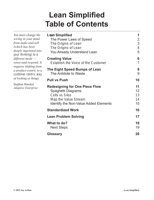### **Lean Simplified Table of Contents**

| You must change the                                                       | <b>Lean Simplified</b>                       |                |
|---------------------------------------------------------------------------|----------------------------------------------|----------------|
| wiring in your mind                                                       | The Power Laws of Speed                      | $\overline{2}$ |
| from make-and-sell<br>(which has been                                     | The Origins of Lean                          | 3              |
| deeply imprinted into                                                     | The Origins of Lean                          | $\overline{4}$ |
| your thinking) to a                                                       | You Already Understand Lean                  | 5              |
| different mode $-$                                                        | <b>Creating Value</b>                        | 6              |
| sense-and-respond. It<br>requires shifting from<br>a product-centric to a | Establish the Voice of the Customer          | $\overline{7}$ |
|                                                                           | The Eight Speed Bumps of Lean                | 8              |
| customer-centric way                                                      | The Antidote to Waste                        | 9              |
| of looking at things.                                                     | <b>Pull vs Push</b>                          | 10             |
| Stephan Haeckel                                                           | <b>Redesigning for One Piece Flow</b>        | 11             |
| <b>Adaptive Enterprise</b>                                                | Spaghetti Diagrams                           | 12             |
|                                                                           | <b>Cells vs Silos</b>                        | 13             |
|                                                                           | Map the Value Stream                         | 14             |
|                                                                           | <b>Identify the Non-Value Added Elements</b> | 15             |
|                                                                           | <b>Standardized Work</b>                     | 16             |
|                                                                           | <b>Lean Problem Solving</b>                  | 17             |
|                                                                           | What to do?                                  | 18             |
|                                                                           | <b>Next Steps</b>                            | 19             |
|                                                                           | <b>Glossary</b>                              | 20             |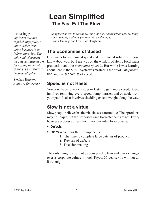### **Lean Simplified The Fast Eat The Slow!**

*Increasingly unpredictable and rapid change follows unavoidably from doing business in an Information Age. The only kind of strategy that makes sense in the face of unpredictable change is a strategy to become adaptive.*

Stephan Haeckel *Adaptive Enterprise* *Being fast has less to do with working longer or harder than with the things you stop doing and how you remove speed bumps!*  - Jason Jennings and Lawrence Haughton

### **The Economies of Speed**

Customers today demand speed and customized solutions. I don't know about you, but I grew up on the wisdom of Henry Ford: mass production and the *economies of scale*. But while I was learning about Ford in the 50's, Toyota was mastering the art of *lean production* and the *economies* of speed.

### **Speed is not Haste**

You don't have to work harder or faster to gain more speed. Speed involves removing every speed bump, barrier, and obstacle from your path. It also involves shedding excess weight along the way.

### **Slow is not a virtue**

Slow people believe that their businesses are unique. Their products may be unique, but the processes used to create them are not. Every business process suffers from two unwanted by-products:

- **Defects**
- **Delay** which has three components:
	- 1. The time to complete large batches of product
	- 2. Rework of defects
	- 3. Decision making

The only thing that cannot be converted to lean and quick changeover is corporate culture. It took Toyota 35 years; you will not do it overnight.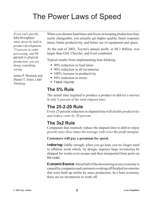# The Power Laws of Speed

*If you can't quickly take throughput times down by half in product development, 75 percent in order processing, and 90 percent in physical production, you are doing something wrong.*

James P. Womack and Daniel T. Jones, *Lean Thinking*

When you shorten lead times and focus on keeping production lines easily changeable, you actually get higher quality, faster response times, better productivity, and better use of equipment and space.

At the end of 2003, Toyota's annual profit, at \$8.3 Billion, was larger than GM, Chrysler, and Ford combined.

Typical results from implementing lean thinking:

- 90% reduction in lead times
- 90% reduction in all inventories
- $\blacksquare$  100% increase in productivity
- 50% reduction in errors
- **Fewer injuries**

#### **The 5% Rule**

The actual time required to produce a product or deliver a service is *only 5 percent of the total elapsed time*.

#### **The 25-2-20 Rule**

Every 25 percent reduction in elapsed time will *double productivity and reduce costs by 20 percent*.

#### **The 3x2 Rule**

Companies that routinely reduce the elapsed time to deliver enjoy *growth rates three times the average with twice the profit margins*.

#### **Customers will pay a premium for speed.**

**Inshoring:** Oddly enough, when you go lean, you no longer need to offshore work which, by design, requires large inventories be shipped for weeks over oceans and then transported from ports on the coast.

**Economic Bounce:** About half of the downswing in any economy is caused by companies and customers working off finished inventories that were built up earlier by mass production. In a lean economy, there are no inventories to work off.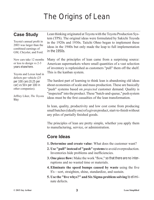# The Origins of Lean

### **Case Study**

Toyota's annual profit in 2003 was larger than the combined earnings of GM, Chrysler, and Ford.

New cars take 12 months or less to design vs 2-3 years elsewhere.

Toyota and Lexus lead in defects per vehicle (25 per 100 cars [0.25 per carl vs  $50+$  per 100 in other companies).

Jeffrey Liker, *The Toyota Way*

Lean thinking originated at Toyota with the Toyota Production System (TPS). The original ideas were formulated by Sakichi Toyoda in the 1920s and 1930s. Taiichi Ohno began to implement these ideas in the 1940s but only made the leap to full implementation in the 1950s.

Many of the principles of lean came from a surprising source: American supermarkets where small quantities of a vast selection of inventory is replenished as customers "pull" them off the shelf. This is the kanban system.

The hardest part of learning to think lean is abandoning old ideas about economies of scale and mass production. These are basically "push" systems based on *projected* customer demand. Quality is "inspected" into the product. These "batch-and-queue," push system ideas must be the first casualties of the lean transformation.

In lean, quality, productivity and low cost come from producing small batches (ideally one) of a given product, start-to-finish without any piles of partially finished goods.

The principles of lean are pretty simple, whether you apply them to manufacturing, service, or administration.

### **Core Ideas**

- **1. Determine and create value**: What does the customer want?
- **2. Use "pull" instead of "push" systems** to avoid overproduction. Inventories hide problems and inefficiencies.
- **3. One piece flow:** Make the work "flow," so that there are no interruptions and no wasted time or materials.
- **4. Eliminate the speed bumps caused by waste** using the five S's—sort, straighten, shine, standardize, and sustain.
- **5. Use the "five whys?" and Six Sigma problem solving** to eliminate defects.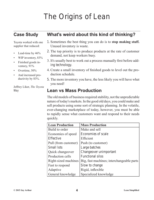# The Origins of Lean

### **Case Study**

Toyota worked with one supplier that reduced:

- Lead-time by  $46%$
- WIP inventory, 83%
- Finished goods inventory, 91%
- Overtime, 50%
- And increased productivity by 83%.

Jeffrey Liker, *The Toyota Way*

### **What's weird about this kind of thinking?**

- 1. Sometimes the best thing you can do is to **stop making stuff.**  Unused inventory is waste.
- 2. The top priority is to produce products at the rate of customer demand, not keep workers busy.
- 3. It's usually best to work out a process manually first before adding technology.
- 4. Create a small inventory of finished goods to level out the production schedule.
- 5. The more inventory you have, the less likely you will have what you need!

### **Lean vs Mass Production**

The old models of business required stability, not the unpredictable nature of today's markets. In the good old days, you could make and sell products using some sort of strategic planning. In the volatile, ever-changing marketplace of today, however, you must be able to rapidly sense what customers want and respond to their needs quickly.

| <b>Lean Production</b> | <b>Mass Production</b>                    |
|------------------------|-------------------------------------------|
| Build to order         | Make and sell                             |
| Economies of speed     | Economies of scale                        |
| Effective              | Efficient                                 |
| Pull (from customer)   | Push (to customer)                        |
| Small lots             | Large batches                             |
| Quick changeover       | Changeover unimportant                    |
| Production cells       | <b>Functional silos</b>                   |
| Right-sized machines   | Big, fast machines; interchangeable parts |
| Fast to respond        | Slow to change                            |
| Adaptive               | Rigid, inflexible                         |
| General knowledge      | Specialized knowledge                     |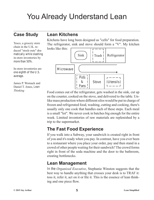# You Already Understand Lean

### **Case Study**

Tesco, a grocery store chain in the U.K. reduced "stock-outs" dramatically while slashing in-store inventories by more than 50%.

In-store inventories are one eighth of the U.S. average.

James P. Womack and Daniel T. Jones, *Lean Thinking*

### **Lean Kitchens**

Kitchens have long been designed as "cells" for food preparation. The refrigerator, sink and stove should form a "V". My kitchen



Food comes out of the refrigerator, gets washed in the sink, cut up on the counter, cooked on the stove, and delivered to the table. Unlike mass production where different silos would be put in charge of frozen and refrigerated food, washing, cutting and cooking, there's usually only one cook that handles each of these steps. Each meal is a small "lot". We never cook in batches big enough for the entire week. Limited inventories of raw materials are replenished by a trip to the supermarket.

### **The Fast Food Experience**

If you walk into a Subway, your sandwich is created right in front of you and it's ready when you pay. In contrast, have you ever been to a restaurant where you place your order, pay and then stand in a crowd of other people waiting for their sandwich? The crowd forms right in front of the soda machine and the door to the bathroom, creating bottlenecks.

### **Lean Management**

In the *Organized Executive*, Stephanie Winston suggests that the best way to handle anything that crosses your desk is to TRAF it: toss it, refer it, act on it or file it. This is the essence of lean thinking and one piece flow.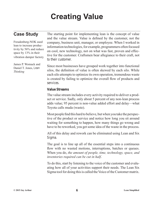# **Creating Value**

### **Case Study**

Freudenberg-NOK used lean to increase productivity by 56% and reduce space by 13% in their vibration damper factory.

James P. Womack and Daniel T. Jones, *Lean Thinking*

The starting point for implementing lean is the concept of value and the value stream. Value is defined by the customer, not the company, business unit, manager, or employee. When I worked in information technologies, for example, programmers often focused on cool, new technology, not on what was fast, proven and effective for the customer. Craftsmen bear allegiance to their craft, not to their customer.

Since most businesses have grouped work together into functional silos, the definition of value is often skewed by each silo. While each silo attempts to optimize its own operation, tremendous waste is created by failing to optimize the overall flow of products and services.

#### **Value Streams**

The value stream includes every activity required to deliver a product or service. Sadly, only about 5 percent of any non-lean process adds value; 95 percent is non-value added effort and delay—what Toyota calls muda (waste).

Most people find this hard to believe, but when you take the perspective of the product or service and notice how long you sit around waiting for something to happen, how many things go wrong and have to be reworked, you get some idea of the waste in the process.

All of this delay and rework can be eliminated using Lean and Six Sigma.

The goal is to line up all of the essential steps into a continuous flow with no wasted motions, interruptions, batches or queues. When you do, *the amount of people, time, technology, space, and inventories required can be cut in half*.

To do this, start by listening to the voice of the customer and evaluating how all of your activities support their needs. The Lean Six Sigma tool for doing this is called the Voice of the Customer matrix.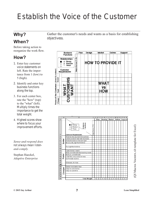# Establish the Voice of the Customer

### **Why?**

### **When?**

Before taking action to reorganize the work flow.

### **How?**

- 1. Enter key customer voice statements on left. Rate the importance from 1 (low) to 5 (high).
- 2. Identify and enter key business functions along the top.
- 3. For each center box, rate the "how" (top) to the "what" (left). Multiply times the importance to get the total weight.
- 4. Highest scores show where to focus your improvement efforts.

*Sense-and-respond does not always mean listenand-comply.*

Stephan Haeckel, *Adaptive Enterprise* Gather the customer's needs and wants as a basis for establishing objectivess.





QI Macros Vocmtrx.xlt template for Excel) (QI Macros Vocmtrx.xlt template for Excel)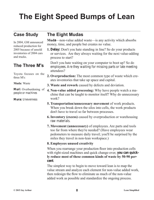# **The Eight Speed Bumps of Lean**

### **Case Study**

In 2004, GM announced reduced production for 2005 because of unsold inventories of 2004 cars and trucks.

### **The Three M's**

Toyota focuses on the three M's:

**Muda**: Waste

**Muri**: Overburdening of people or machines

**Mura:** Unevenness

### **The Eight Mudas**

**Muda**—non-value added waste—is any activity which absorbs money, time, and people but creates no value.

**1. Delay:** Don't you hate standing in line? So do your products or services. Are they always waiting for the next value-adding process to start?

Don't you hate waiting on your computer to boot up? So do employees. Are they waiting for missing parts or late meeting attendees?

- **2. Overproduction:** The most common type of waste which creates inventories that take up space and capital.
- **3. Waste and rework** caused by defects and deviation.
- **4. Non-value added processing:** Why have people watch a machine that can be taught to monitor itself? Why do unnecessary work?
- **5. Transportation/unnecessary movement** of work products. When you break down the silos into cells, the work products don't have to travel so far between processes.
- **6. Inventory (excess)** caused by overproduction or warehousing raw materials.
- **7. Movement (unnecessary)** of employees. Are parts and tools too far from where they're needed? (Have employees wear pedometers to measure daily travel; you'll be surprised by the miles they travel in non-lean workspace.)

#### **8. Employees unused creativity**

When you rearrange your production floor into production cells with right-sized machines and quick change-over, **you can quickly reduce most of these common kinds of waste by 50-90 percent**.

The simplest way to begin to move toward lean is to map the value stream and analyze each element for non-value added work, then redesign the flow to eliminate as much of the non-value added work as possible and standardize the ongoing process.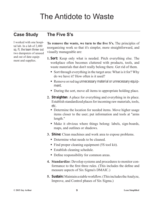### The Antidote to Waste

### **Case Study**

### **The Five S's**

I worked with one hospital lab. In a lab of 2,400 sq. ft. the team threw out two dumpsters of unused and out of date equipment and supplies.

**To remove the waste, we turn to the five S's.** The principles of reorganizing work so that it's simpler, more straightforward, and visually manageable are:

- **1. Sort:** Keep only what is needed. Pitch everything else. The workplace often becomes cluttered with products, tools, and waste materials that don't really belong there. Get rid of them.
	- Sort through everything in the target area: What is it for? Why do we have it? How often is it used?
	- Remove or red tag unnecessary material or unnecessary equipment.
	- During the sort, move all items to appropriate holding place.
- **2. Straighten**: A place for everything and everything in its place. Establish standardized places for incoming raw materials, tools, etc.
	- Determine the location for needed items. Move higher usage items closer to the user; put information and tools at "arms length."
	- Make it obvious where things belong: labels, sign-boards, maps, and outlines or shadows.
- **3. Shine:** Clean machines and work area to expose problems.
	- Determine what needs to be cleaned.
	- Find proper cleaning equipment (5S tool kit).
	- Establish cleaning schedule.
	- Define responsibility for common areas.
- **4. Standardize**: Develop systems and procedures to monitor conformance to the first three rules. (This includes the define and measure aspects of Six Sigma's DMAIC.)
- **5. Sustain:** Maintain a stable workflow. (This includes the Analyze, Improve, and Control phases of Six Sigma.)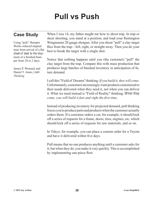# **Pull vs Push**

### **Case Study**

Using "pull," Bumper Works reduced elapsed time from arrival of a flat sheet of steel to the shipment of a finished bumper from 28 to 2 days.

James P. Womack and Daniel T. Jones, *Lean Thinking*

When I was 14, my father taught me how to shoot trap. In trap or skeet shooting, you stand at a position, and load your Remington Wingmaster 20 gauge shotgun. After you shout "pull" a clay target flies from the trap—left, right, or straight away. Then you do your best to break the target with a single shot.

Notice that nothing happens until you (the customer) "pull" the clay target from the trap. Compare this with mass production that produces large batches of finished inventory in anticipation of future demand.

I call this "Field of Dreams" thinking: *If you build it, they will come*. Unfortunately, customers increasingly want products customized to their needs delivered when they need it, not when you can deliver it. What we need instead is "Field of Reality" thinking: *When they come, you will build it fast and right the first time*.

Instead of producing inventory for projected demand, pull thinking forces you to produce parts and products when the customer actually orders them. If a customer orders a car, for example, it should kick off a series of requests for a frame, doors, tires, engines, etc. which should kick off a series of requests for raw materials, and so on.

In Tokyo, for example, you can place a custom order for a Toyota and have it delivered within five days.

Pull means that no one produces anything until a customer asks for it, but when they do, you make it very quickly. This is accomplished by implementing one-piece flow.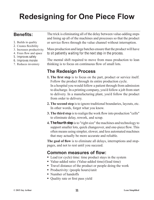# **Redesigning for One Piece Flow**

### **Benefits:**

- 1. Builds in quality
- 2. Creates flexibility
- 3. Increases productivity
- 4. Frees flow and space
- 5. Improves safety
- 6. Improves morale
- 7. Reduces inventory

The trick is eliminating all of the delay between value-adding steps and lining up all of the machines and processes so that the product or service flows through the value channel without interruption.

Mass production and large batches ensure that the product will have to sit patiently waiting for the next step in the process.

The mental shift required to move from mass production to lean thinking is to focus on continuous flow of small lots.

### **The Redesign Process**

- **1. The first step** is to focus on the part, product or service itself. Follow the product through its entire production cycle. In a hospital you would follow a patient through from admission to discharge. In a printing company, you'd follow a job from start to delivery. In a manufacturing plant, you'd follow the product from order to delivery.
- **2. The second step** is to ignore traditional boundaries, layouts, etc. In other words, forget what you know.
- **3. The third step** is to realign the work flow into production "cells" to eliminate delay, rework, and scrap.
- **4. The fourth step** is to "right size" the machines and technology to support smaller lots, quick changeover, and one-piece flow. This often means using simpler, slower, and less automated machines that may actually be more accurate and reliable.

**The goal of flow** is to eliminate all delays, interruptions and stoppages, and not to rest until you succeed.

#### **Common measures of flow:**

- Lead (or cycle) time: time product stays in the system
- Value-added ratio: (Value-added time)/(lead time)
- Travel distance of the product or people doing the work
- Productivity: (people hours)/unit
- Number of handoffs
- Quality rate or first pass yield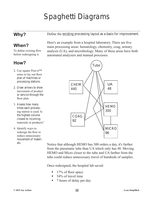# Spaghetti Diagrams

### **Why?**

### **When?**

To define existing flow before redesigning it.

### **How?**

- 1. Use square Post-it™ notes to lay out floor plan of machines or processing stations.
- 2. Draw arrows to show movement of product or service through the floor plan
- 3. Assess how many times each processing station is used. Is the highest volume closest to incoming materials or products?
- 4. Identify ways to redesign the flow to reduce unnecessary movement of materials.

Define the existing processing layout as a basis for improvement.

Here's an example from a hospital laboratory. There are five main processing areas: hematology, chemistry, coag, urinary analysis (UA), and microbiology. Many of these areas have both automated analyzers and manual processes.



Notice that although HEMO has 300 orders a day, it's farther from the pneumatic tube than UA which only has 48. Moving HEMO and Micro closer to the tube and UA farther from the tube could reduce unnecessary travel of hundreds of samples.

Once redesigned, the hospital lab saved:

- $\blacksquare$  17% of floor space
- $\blacksquare$  54% of travel time
- 7 hours of delay per day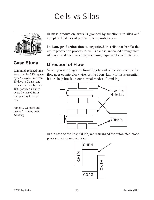# Cells vs Silos



### **Case Study**

Wiremold reduced timeto-market by 75%, space by 50%, cycle time from 28 days to 2 days, and reduced defects by over 40% per year. Changeovers increased from four per day to 30 per day.

James P. Womack and Daniel T. Jones, *Lean Thinking*

In mass production, work is grouped by function into silos and completed batches of product pile up in-between.

**In lean, production flow is organized in cells** that handle the entire production process. A cell is a close, u-shaped arrangement of people and machines in a processing sequence to facilitate flow.

### **Direction of Flow**

When you see diagrams from Toyota and other lean companies, flow goes counterclockwise. While I don't know if this is essential, it does help break up our normal modes of thinking.



In the case of the hospital lab, we rearranged the automated blood processors into one work cell.

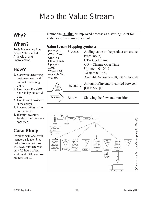# Map the Value Stream

### **Why?**

**When?**

To define existing flow before Value-Added Analysis or after improvement.

### **How?**

- 1. Start with identifying customer needs and end with satisfying them.
- 2. Use square Post-it™ notes to lay out activities.
- 3. Use Arrow Post-its to show delays.
- 4. Place activities in the correct order.
- 5. Identify Inventory levels carried between each step.

### **Case Study**

I worked with one goverment organization that had a process that took 140 days, but there was only 7.5 hours of real work in all 140 days. We reduced it to 30.

Define the existing or improved process as a starting point for stabilization and improvement.

#### **Value Stream Mapping symbols:**

| Process 1<br>$CT = 15$ sec<br>$Crew = 1$<br>$CO = 10$ min<br>Uptime $=$<br>100%<br>Waste = $5%$<br>Available Sec<br>$= 27600$ | Process   | Adding value to the product or service<br>(verb-noun)<br>$CT = Cycle Time$<br>$CO = Change Over Time$<br>Uptime = $0-100\%$<br>Waste = $0-100\%$<br>Available Seconds = $28,800 / 8$ hr shift |
|-------------------------------------------------------------------------------------------------------------------------------|-----------|-----------------------------------------------------------------------------------------------------------------------------------------------------------------------------------------------|
| $100^{\degree}$<br>Units                                                                                                      | Inventory | Amount of inventory carried between<br>process steps                                                                                                                                          |
| 100 Secs                                                                                                                      | Arrow     | Showing the flow and transition                                                                                                                                                               |

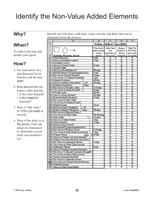### Identify the Non-Value Added Elements

### **Why?**

### **When?**

To slash cycle time and double your speed.

### **How?**

- 1. For each arrow, box, and diamond, list its function and the time spent.
- 2. Now become the customer's order and ask:
	- Is the order delayed?
	- Is this inspection necessary?
- 3. Does it "add value," or is this just waste or rework?
- 4. Most of the delay is in the arrows. How can delays be eliminated or shortened to accelerate your productivity?

Identify the wait time, walk time, waste, rework, and delay that can be eliminated from the process.

|                    | ΤŌ,                                                                             | E                    | (B)                     | ΙDΪ        | E          |
|--------------------|---------------------------------------------------------------------------------|----------------------|-------------------------|------------|------------|
| $\mathbf{\hat{I}}$ | <b>Value Added Checklist</b>                                                    |                      |                         |            |            |
|                    |                                                                                 | Time Spent           | Adds Value              | Changes    | Right The  |
|                    |                                                                                 | [hours, days,]       | fnot                    | Product or | First Time |
|                    |                                                                                 | weeks.               | inspection or           | Service    | fnot waste |
| 2                  | Activity, Decision, Arrow                                                       | months)              | fix-it work]            | Physically | or rework) |
| 13.                | Claim Received                                                                  | 1 min                | Y                       | Ÿ          | Υ          |
| d.                 | Arrow to Establish Control                                                      | 5 day                | $\overline{\mathbb{N}}$ | Ν          | М          |
| 51                 | Establish Control                                                               |                      | Ÿ                       | Ÿ          | Y          |
| ĪB.                | Arrow to Create Folder                                                          | $10 \text{ min}$     | M                       | Ν          | Ν          |
| Ŧ                  | Create Folder                                                                   |                      | Ÿ                       | Ÿ          | Ÿ          |
| 131                | Arrow to Need Evidence?                                                         | $25 \text{ days}$    | М                       | Ν          | Μ          |
| IJ.                | Need Evidence? (inspection/decision)                                            | $3 \text{min}$       | М                       | М          | Y          |
| 101                | No: Arrow to Exam Needed?                                                       | $2 \text{ days}$     | М                       | М          | М          |
| 11                 | Yes: Arrow To Request Evidence                                                  | Tday                 | Μ<br>Ÿ                  | Ν<br>Ÿ     | Ν<br>Ÿ     |
| 12.                | Request Evidence                                                                | 45 min               |                         |            | М          |
| 18<br>14.          | Arrow to Evidence Received?<br>90<br>Evidence Received?                         | 60 days              | Ν<br>М                  | Ν<br>Ν     | Y          |
| 151                | 'Days<br>No: Arrow to Provide Letter                                            | 5-10 days            | м                       | м          | Ν          |
|                    | [16] Yes: Arrow to Exam Needed?                                                 | 2 days               | Ν                       | Ν          | М          |
| 17                 | Provide Letter                                                                  | $30 \,\mathrm{min}$  | Ÿ                       | Ÿ          | Y          |
|                    | 18 Arrow to Exam Needed?                                                        | 30 days              | Ν                       | Μ          | м          |
| $19-1$             | Exam Needed? (decision)                                                         | $15 \text{ min}$     | Y                       | Ÿ          | Y          |
|                    | 2011 No: Arrow to Rate Claim                                                    | $\ddot{\phantom{1}}$ | М                       | Ν          | Ν          |
| ଧା                 | Yes: Arrow to Request Exam                                                      |                      | М                       | N          | M          |
|                    | [22]] Request Exam                                                              | 1hour                | Ÿ                       | Ÿ          | Ÿ          |
|                    | $=$ 36<br>23 Arrow to Exam Complete?                                            |                      | Ñ                       | Ñ          | М          |
|                    | 24 Exam Complete? [decision]<br>Days                                            | 25 days              | М                       | Μ          | Y          |
|                    | [25]] No: Arrow to Request Exam_                                                |                      | Ν                       | Ν          | Ν          |
|                    | 26 Yes: Arrow to Rate Claim                                                     | 90-100 days          | M                       | Ν          | M          |
| 27                 | Rate Claim                                                                      | 3 hours              | Ÿ                       | Ÿ          | Ÿ          |
| 28                 | <b>Arrow to Claims Review</b>                                                   | 1 dau                | М                       | Ñ          | Ñ          |
|                    | 29 Claims Review                                                                | 2 days               | М                       | м          | Ϋ          |
|                    | <b>30 Arrow to Error Noted?</b>                                                 |                      | М                       | Ñ          | Μ          |
|                    | 81 Error Noted? (Inspection/decision)                                           |                      | м                       | М          | м          |
| 32 <sub>1</sub>    | No: Arrow to Prepare Award                                                      | 3-14 days            | Μ                       | Ν          | Μ          |
| 331                | Yes: Arrow to Rate Claim (rework) 120                                           | 1 dau                | М                       | Μ          | М          |
| 84                 | Prepare Award<br>Daus                                                           | 15 min               | Ÿ                       | Ÿ          | Ÿ          |
| 185∏               | Arrow to Rating Correction Needed?                                              | $\ddot{\phantom{0}}$ | Ñ                       | Ñ          | Ñ          |
|                    | 86   Rating Correction Needed? [Decision]                                       |                      | Ы                       | м          | Y          |
|                    | 87 No: Arrow to Authorizer Review                                               | $2$ days             | М                       | Ν          | Ν          |
| 881                | <b>Yes: Arrow to Rate Claim frework)</b>                                        |                      | Μ                       | N          | Μ          |
| 39 <sub>1</sub>    | <b>Authorizer Review</b>                                                        | $8 \,\mathrm{min}$   | Μ                       | Ν          | Y          |
| पा ।               | 40 Arrow to Rating Correction Needed?                                           | $\ddot{\phantom{0}}$ | Ν<br>М                  | Ν<br>Ν     | Ν<br>Ν     |
|                    | No: Arrow To Award Correction Needed?<br>[42] Yes: Arrow to Rate Claim (rework) |                      | м                       | Ñ          | м          |
|                    | 图3III Award Correction Needed?                                                  |                      | Ы                       | Ñ          | Ÿ          |
|                    | 熙国 No: Arrow to Authorize Award                                                 |                      | М                       | Ν          | м          |
| 四石仙                | Yes: Arrow to Prepare Award (Rework)                                            | $\ddot{\phantom{0}}$ | Μ                       | Μ          | N          |
| 461                | <b>Authorize Award</b>                                                          |                      | Y                       | Ÿ          | Y          |
| $\mathbb{F}^n$     | Arrow to Mail Award Notice                                                      |                      | Ÿ                       | Y          | Ÿ          |
|                    |                                                                                 |                      |                         |            |            |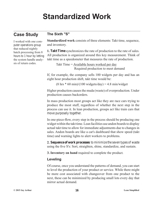# **Standardized Work**

### **Case Study**

I worked with one computer operations group that reduced nightly batch processing from 8 hours to 1 hour by letting the system handle analysis of return codes.

#### **The Sixth "S"**

**Standardized work** consists of three elements: Takt time, sequence, and inventory.

**1. Takt Time** synchronizes the rate of production to the rate of sales. All production is organized around this key measurement. Think of takt time as a speedometer that measures the rate of production.

```
Takt Time = Available hours worked per day
            Required production to meet demand
```
If, for example, the company sells 100 widgets per day and has an eight hour production shift, takt time would be:

```
(8 \text{ hrs} * 60 \text{ min})/(100 \text{ widgets/day}) = 4.8 \text{ min/widget}
```
Higher production causes the muda (waste) of overproduction. Under production causes backorders.

In mass production most groups act like they are race cars trying to produce the most stuff, regardless of whether the next step in the process can use it. In lean production, groups act like train cars that move purposely together.

In one-piece-flow, every step in the process should be producing one widget within the takt time. Lean facilities use andon boards to display actual takt time to allow for immediate adjustments due to changes in sales. Andon boards are like a car's dashboard that show speed (takt time) and warning lights to alert workers to problems.

**2. Sequence of work processes** to minimize the seven types of waste using the five S's: Sort, straighten, shine, standardize, and sustain.

**3. Inventory on hand** required to complete the product.

#### **Leveling**

Of course, once you understand the patterns of demand, you can start to level the production of your product or service. While there might be more cost associated with changeover from one product to the next, these can be minimized by producing small lots every day that mirror actual demand.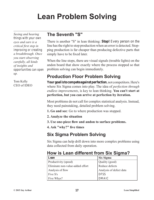# **Lean Problem Solving**

*Seeing and hearing things with your own eyes and ears is a critical first step in improving or creating a breakthrough. Once you start observing carefully, all kinds of insights and opportunities can open up.*

Tom Kelly CEO of IDEO

### **The Seventh "S"**

There is another "S" in lean thinking: **Stop!** Every person on the line has the right to stop production when an error is detected. Stopping production is far cheaper than producing defective parts that simply have to be fixed later.

When the line stops, there are visual signals (trouble lights) on the andon board that show exactly where the process stopped so that problem solving can begin immediately.

### **Production Floor Problem Solving**

**Your goal is to compete against perfection**, not competitors. Here's where Six Sigma comes into play. The idea of *perfection through endless improvements*, is key to lean thinking. **You can't start at perfection, but you can arrive at perfection by iteration.** 

Most problems do not call for complex statistical analysis. Instead, they need painstaking, detailed problem solving.

- **1. Go and see**: Go to where production was stopped.
- **2. Analyze the situation**
- **3. Use one-piece flow and andon to surface problems.**
- **4. Ask "why?" five times**

### **Six Sigma Problem Solving**

Six Sigma can help drill down into more complex problems using data collected from daily operation.

### **How is Lean different from Six Sigma?**

| Lean                             | <b>Six Sigma</b>        |
|----------------------------------|-------------------------|
| Productivity (speed)             | Quality (good)          |
| Eliminate non-value-added effort | Reduce defects          |
| Analysis of flow                 | Analysis of defect data |
| Five S's                         | <b>DFSS</b>             |
| Five Whys?                       | <b>DMAIC</b>            |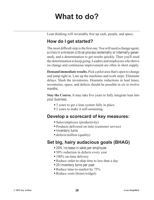### **What to do?**

Lean thinking will invariably free up cash, people, and space.

### **How do I get started?**

The most difficult step is the first one. You will need a change agent, a crisis in a mission critical process (externally or internally generated), and a determination to get results quickly. Then you'll need the determination to keep going. Leaders and employees who thrive on change and continuous improvement are often in short supply.

**Demand immediate results.** Pick a pilot area that's open to change and jump right in. Line up the machines and work steps. Eliminate delays. Slash the inventories. Dramatic reductions in lead times, inventories, space, and defects should be possible in six to twelve months.

**Stay the Course.** It may take five years to fully integrate lean into your business.

- 3 years to get a lean system fully in place.
- 2 years to make it self-sustaining.

### **Develop a scorecard of key measures:**

- Sales/employee (productivity)
- Products delivered on time (customer service)
- Inventory turns
- defects/million (quality)

### **Set big, hairy audacious goals (BHAG)**

- 20% increase in sales per employee
- 50% reduction in defects every year
- $\blacksquare$  100% on-time delivery
- Reduce order-to-ship time to less than a day
- 20 Inventory turns per year
- Reduce time-to-market by 75%
- Reduce costs (hours/widget)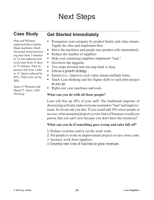# Next Steps

### **Case Study**

Pratt and Whitney rightsized their turbine blade machines which increased actual processing time from 3 minutes to 12, but reduced total cycle time from 10 days to 75 minutes. Parts in process fell from 1,640 to 15. Space reduced by 60%. Total costs cut by 50%.

James P. Womack and Daniel T. Jones, *Lean Thinking*

### **Get Started Immediately**

- Reorganize your company by product family and value stream. Topple the silos and implement flow.
- Move the machines and people into product cells immediately.
- Reduce the number of suppliers.
- Help your remaining suppliers implement "lean."
- Downsize the laggards.
- Two-steps forward and one-step back is okay.
- Devise a growth strategy.
- Kaizen (*i.e.*, improve) each value stream multiple times.
- Teach Lean thinking and Six Sigma skills to each pilot project as you go.
- Right-size your machines and tools.

#### **What can you do with all those people?**

Lean will free up 30% of your staff. The traditional response of downsizing will only make everyone resistant to "lean" and improvement. So let me ask you this: If you could add 30% more people at no cost, what unstarted projects or new lines of business would you pursue that you can't now because you don't have the resources?

#### **What can you do if something goes wrong and sales fall off?**

- 1. Reduce overtime and/or cut the work week.
- 2. Put people to work on improvement projects to save more cash.
- 3. Insource work from suppliers.
- 4. Develop new lines of business to grow revenues.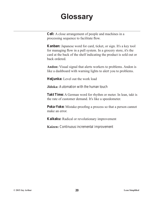### **Glossary**

**Cell:** A close arrangement of people and machines in a processing sequence to facilitate flow.

**Kanban:** Japanese word for card, ticket, or sign. It's a key tool for managing flow in a pull system. In a grocery store, it's the card at the back of the shelf indicating the product is sold out or back ordered.

**Andon:** Visual signal that alerts workers to problems. Andon is like a dashboard with warning lights to alert you to problems.

**Heijunka:** Level out the work load

**Jidoka:** Automation with the human touch

**Takt Time:** A German word for rhythm or meter. In lean, takt is the rate of customer demand. It's like a speedometer.

**Poka-Yoke:** Mistake-proofing a process so that a person cannot make an error.

**Kaikaku:** Radical or revolutionary improvement

**Kaizen:** Continuous incremental improvement